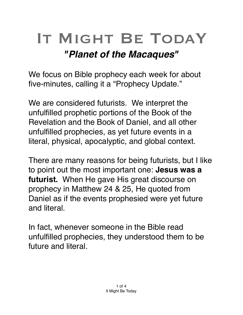## IT MIGHT BE TODAY

## *"Planet of the Macaques"*

We focus on Bible prophecy each week for about five-minutes, calling it a "Prophecy Update."

We are considered futurists. We interpret the unfulfilled prophetic portions of the Book of the Revelation and the Book of Daniel, and all other unfulfilled prophecies, as yet future events in a literal, physical, [apocalyptic](https://en.m.wikipedia.org/wiki/Apocalypticism), and global context.

There are many reasons for being futurists, but I like to point out the most important one: **Jesus was a futurist.** When He gave His great discourse on prophecy in Matthew 24 & 25, He quoted from Daniel as if the events prophesied were yet future and literal.

In fact, whenever someone in the Bible read unfulfilled prophecies, they understood them to be future and literal.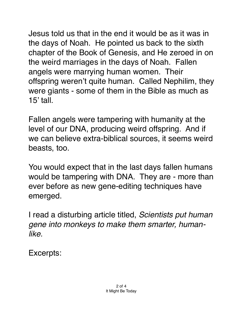Jesus told us that in the end it would be as it was in the days of Noah. He pointed us back to the sixth chapter of the Book of Genesis, and He zeroed in on the weird marriages in the days of Noah. Fallen angels were marrying human women. Their offspring weren't quite human. Called Nephilim, they were giants - some of them in the Bible as much as  $15'$  tall.

Fallen angels were tampering with humanity at the level of our DNA, producing weird offspring. And if we can believe extra-biblical sources, it seems weird beasts, too.

You would expect that in the last days fallen humans would be tampering with DNA. They are - more than ever before as new gene-editing techniques have emerged.

I read a disturbing article titled, *Scientists put human gene into monkeys to make them smarter, humanlike.*

Excerpts: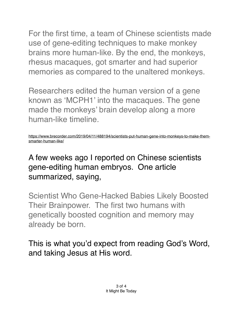For the first time, a team of Chinese scientists made use of gene-editing techniques to make monkey brains more human-like. By the end, the monkeys, rhesus macaques, got smarter and had superior memories as compared to the unaltered monkeys.

Researchers edited the human version of a gene known as 'MCPH1' into the macaques. The gene made the monkeys' brain develop along a more human-like timeline*.* 

A few weeks ago I reported on Chinese scientists gene-editing human embryos. One article summarized, saying,

Scientist Who Gene-Hacked Babies Likely Boosted Their Brainpower. The first two humans with genetically boosted cognition and memory may already be born.

This is what you'd expect from reading God's Word, and taking Jesus at His word.

[https://www.brecorder.com/2019/04/11/488194/scientists-put-human-gene-into-monkeys-to-make-them](https://www.brecorder.com/2019/04/11/488194/scientists-put-human-gene-into-monkeys-to-make-them-smarter-human-like/)[smarter-human-like/](https://www.brecorder.com/2019/04/11/488194/scientists-put-human-gene-into-monkeys-to-make-them-smarter-human-like/)